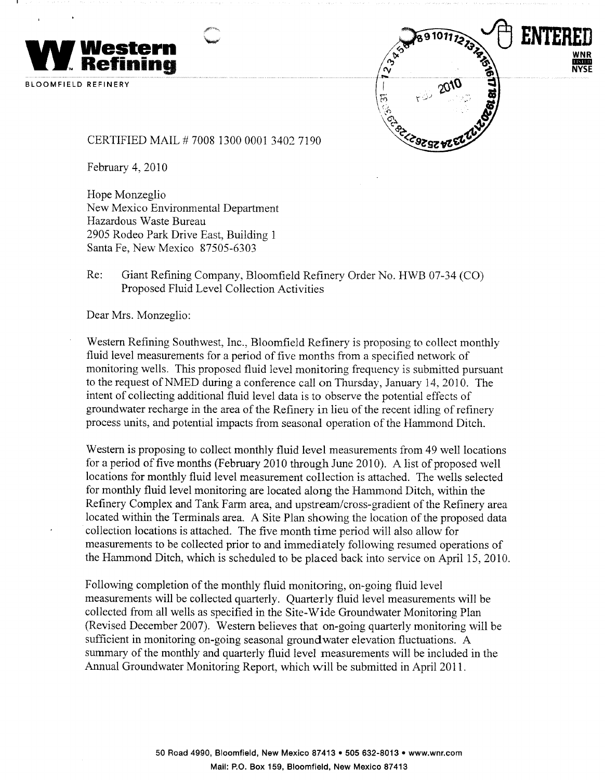



CERTIFIED MAIL #7008 1300 0001 3402 7190

February 4, 2010

Hope Monzeglio New Mexico Environmental Department Hazardous Waste Bureau 2905 Rodeo Park Drive East, Building 1 Santa Fe, New Mexico 87505-6303

Re: Giant Refining Company, Bloomfield Refinery Order No. HWB 07-34 (CO) Proposed Fluid Level Collection Activities

Dear Mrs. Monzeglio:

Western Refining Southwest, Inc., Bloomfield Refinery is proposing to collect monthly fluid level measurements for a period of five months from a specified network of monitoring wells. This proposed fluid level monitoring frequency is submitted pursuant to the request of NMED during a conference call on Thursday, January 14, 2010. The intent of collecting additional fluid level data is to observe the potential effects of groundwater recharge in the area of the Refinery in lieu of the recent idling of refinery process units, and potential impacts from seasonal operation of the Hammond Ditch.

Western is proposing to collect monthly fluid level measurements from 49 well locations for a period of five months (February 2010 through June 2010). A list of proposed well locations for monthly fluid level measurement collection is attached. The wells selected for monthly fluid level monitoring are located along the Hammond Ditch, within the Refinery Complex and Tank Farm area, and upstream/cross-gradient of the Refinery area located within the Terminals area. A Site Plan showing the location of the proposed data collection locations is attached. The five month time period will also allow for measurements to be collected prior to and immediately following resumed operations of the Hammond Ditch, which is scheduled to be placed back into service on April 15, 2010.

Following completion of the monthly fluid monitoring, on-going fluid level measurements will be collected quarterly. Quarterly fluid level measurements will be collected from all wells as specified in the Site-Wide Groundwater Monitoring Plan (Revised December 2007). Western believes that on-going quarterly monitoring will be sufficient in monitoring on-going seasonal ground water elevation fluctuations. A summary of the monthly and quarterly fluid level measurements will be included in the Annual Groundwater Monitoring Report, which will be submitted in April 2011.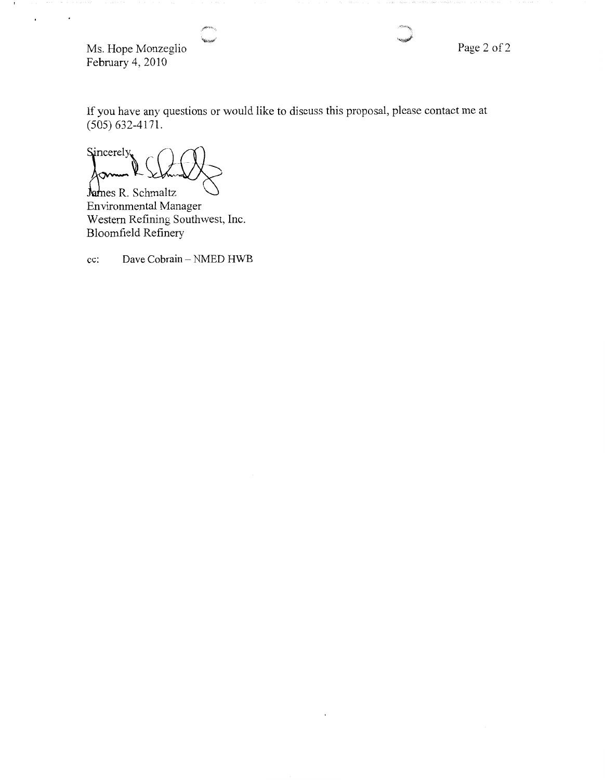Ms. Hope Monzeglio February 4, 2010

 $\epsilon$ 

 $\cdot$ 

Page 2 of 2

If you have any questions or would like to discuss this proposal, please contact me at  $(505) 632 - 4171.$ 

Sincerely,

James R. Schmaltz Environmental Manager Western Refining Southwest, Inc. Bloomfield Refinery

Dave Cobrain - NMED HWB cc: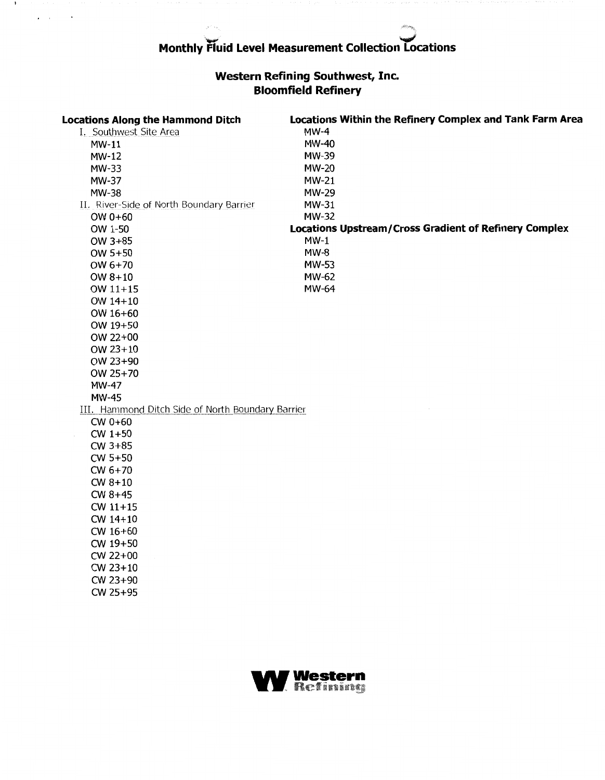$\mathbf{I}$ 

 $\mathbf{z} = \mathbf{z} - \mathbf{z}$ 

 $\hat{\phantom{a}}$ 

## Western Refining Southwest, Inc.<br>Bloomfield Refinery

| <b>Locations Along the Hammond Ditch</b>          | Locations Within the Refinery Complex and Tank Farm Area     |
|---------------------------------------------------|--------------------------------------------------------------|
| I. Southwest Site Area<br>$MW-11$                 | $MW-4$                                                       |
|                                                   | MW-40                                                        |
| <b>MW-12</b>                                      | MW-39                                                        |
| MW-33                                             | <b>MW-20</b>                                                 |
| <b>MW-37</b>                                      | <b>MW-21</b>                                                 |
| MW-38                                             | MW-29                                                        |
| II. River-Side of North Boundary Barrier          | MW-31                                                        |
| OW $0+60$                                         | <b>MW-32</b>                                                 |
| OW 1-50                                           | <b>Locations Upstream/Cross Gradient of Refinery Complex</b> |
| OW 3+85                                           | $MW-1$                                                       |
| OW 5+50                                           | $MW-8$                                                       |
| OW 6+70                                           | MW-53                                                        |
| OW $8+10$                                         | MW-62                                                        |
| OW 11+15                                          | MW-64                                                        |
| OW 14+10                                          |                                                              |
| OW 16+60                                          |                                                              |
| OW 19+50                                          |                                                              |
| OW 22+00                                          |                                                              |
| OW $23+10$                                        |                                                              |
| OW 23+90                                          |                                                              |
| OW 25+70                                          |                                                              |
| MW-47                                             |                                                              |
| <b>MW-45</b>                                      |                                                              |
| III. Hammond Ditch Side of North Boundary Barrier |                                                              |
| $CW 0+60$                                         |                                                              |
| $CW$ 1+50                                         |                                                              |
| $CW$ 3+85                                         |                                                              |
| $CW$ 5+50                                         |                                                              |
| $CW 6+70$                                         |                                                              |
| $CW 8+10$                                         |                                                              |
| $CW 8+45$                                         |                                                              |
| $CW$ 11+15                                        |                                                              |
| $CW 14+10$                                        |                                                              |
| $CW 16+60$                                        |                                                              |
| CW 19+50                                          |                                                              |
| CW 22+00                                          |                                                              |
| CW 23+10                                          |                                                              |
| CW 23+90                                          |                                                              |
| CW 25+95                                          |                                                              |